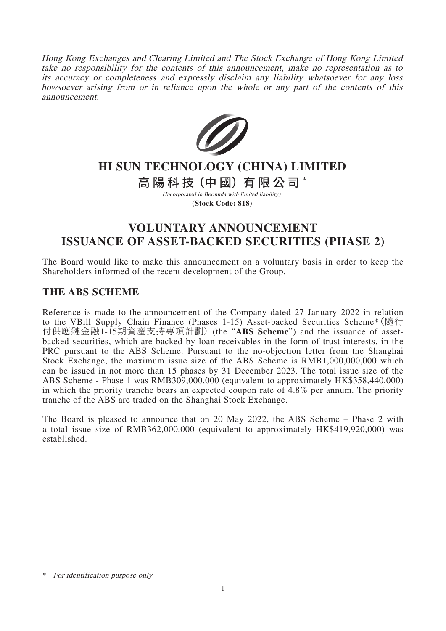Hong Kong Exchanges and Clearing Limited and The Stock Exchange of Hong Kong Limited take no responsibility for the contents of this announcement, make no representation as to its accuracy or completeness and expressly disclaim any liability whatsoever for any loss howsoever arising from or in reliance upon the whole or any part of the contents of this announcement.



# **HI SUN TECHNOLOGY (CHINA) LIMITED**

高陽科 技(中 國)有限公 司 **\***

(Incorporated in Bermuda with limited liability) **(Stock Code: 818)**

## **VOLUNTARY ANNOUNCEMENT ISSUANCE OF ASSET-BACKED SECURITIES (PHASE 2)**

The Board would like to make this announcement on a voluntary basis in order to keep the Shareholders informed of the recent development of the Group.

### **THE ABS SCHEME**

Reference is made to the announcement of the Company dated 27 January 2022 in relation to the VBill Supply Chain Finance (Phases 1-15) Asset-backed Securities Scheme\*(隨行 付供應鏈金融1-15期資產支持專項計劃) (the "**ABS Scheme**") and the issuance of assetbacked securities, which are backed by loan receivables in the form of trust interests, in the PRC pursuant to the ABS Scheme. Pursuant to the no-objection letter from the Shanghai Stock Exchange, the maximum issue size of the ABS Scheme is RMB1,000,000,000 which can be issued in not more than 15 phases by 31 December 2023. The total issue size of the ABS Scheme - Phase 1 was RMB309,000,000 (equivalent to approximately HK\$358,440,000) in which the priority tranche bears an expected coupon rate of 4.8% per annum. The priority tranche of the ABS are traded on the Shanghai Stock Exchange.

The Board is pleased to announce that on 20 May 2022, the ABS Scheme – Phase 2 with a total issue size of RMB362,000,000 (equivalent to approximately HK\$419,920,000) was established.

<sup>\*</sup> For identification purpose only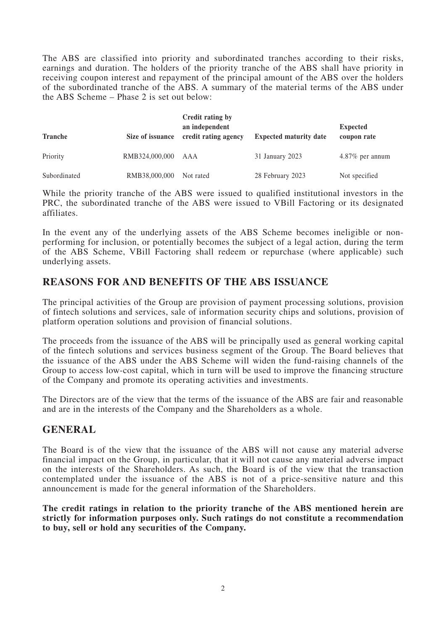The ABS are classified into priority and subordinated tranches according to their risks, earnings and duration. The holders of the priority tranche of the ABS shall have priority in receiving coupon interest and repayment of the principal amount of the ABS over the holders of the subordinated tranche of the ABS. A summary of the material terms of the ABS under the ABS Scheme – Phase 2 is set out below:

| <b>Tranche</b> | Size of issuance | Credit rating by<br>an independent<br>credit rating agency | <b>Expected maturity date</b> | <b>Expected</b><br>coupon rate |
|----------------|------------------|------------------------------------------------------------|-------------------------------|--------------------------------|
| Priority       | RMB324,000,000   | AAA                                                        | 31 January 2023               | $4.87\%$ per annum             |
| Subordinated   | RMB38,000,000    | Not rated                                                  | 28 February 2023              | Not specified                  |

While the priority tranche of the ABS were issued to qualified institutional investors in the PRC, the subordinated tranche of the ABS were issued to VBill Factoring or its designated affiliates.

In the event any of the underlying assets of the ABS Scheme becomes ineligible or nonperforming for inclusion, or potentially becomes the subject of a legal action, during the term of the ABS Scheme, VBill Factoring shall redeem or repurchase (where applicable) such underlying assets.

## **REASONS FOR AND BENEFITS OF THE ABS ISSUANCE**

The principal activities of the Group are provision of payment processing solutions, provision of fintech solutions and services, sale of information security chips and solutions, provision of platform operation solutions and provision of financial solutions.

The proceeds from the issuance of the ABS will be principally used as general working capital of the fintech solutions and services business segment of the Group. The Board believes that the issuance of the ABS under the ABS Scheme will widen the fund-raising channels of the Group to access low-cost capital, which in turn will be used to improve the financing structure of the Company and promote its operating activities and investments.

The Directors are of the view that the terms of the issuance of the ABS are fair and reasonable and are in the interests of the Company and the Shareholders as a whole.

### **GENERAL**

The Board is of the view that the issuance of the ABS will not cause any material adverse financial impact on the Group, in particular, that it will not cause any material adverse impact on the interests of the Shareholders. As such, the Board is of the view that the transaction contemplated under the issuance of the ABS is not of a price-sensitive nature and this announcement is made for the general information of the Shareholders.

**The credit ratings in relation to the priority tranche of the ABS mentioned herein are strictly for information purposes only. Such ratings do not constitute a recommendation to buy, sell or hold any securities of the Company.**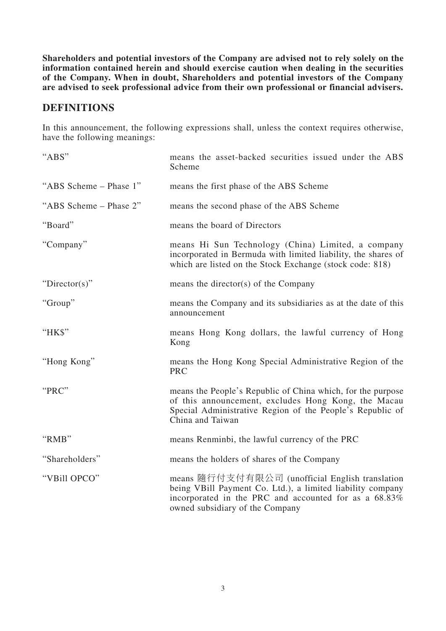**Shareholders and potential investors of the Company are advised not to rely solely on the information contained herein and should exercise caution when dealing in the securities of the Company. When in doubt, Shareholders and potential investors of the Company are advised to seek professional advice from their own professional or financial advisers.**

## **DEFINITIONS**

In this announcement, the following expressions shall, unless the context requires otherwise, have the following meanings:

| "ABS"                  | means the asset-backed securities issued under the ABS<br>Scheme                                                                                                                                          |
|------------------------|-----------------------------------------------------------------------------------------------------------------------------------------------------------------------------------------------------------|
| "ABS Scheme – Phase 1" | means the first phase of the ABS Scheme                                                                                                                                                                   |
| "ABS Scheme - Phase 2" | means the second phase of the ABS Scheme                                                                                                                                                                  |
| "Board"                | means the board of Directors                                                                                                                                                                              |
| "Company"              | means Hi Sun Technology (China) Limited, a company<br>incorporated in Bermuda with limited liability, the shares of<br>which are listed on the Stock Exchange (stock code: 818)                           |
| "Director(s)"          | means the director(s) of the Company                                                                                                                                                                      |
| "Group"                | means the Company and its subsidiaries as at the date of this<br>announcement                                                                                                                             |
| "HK\$"                 | means Hong Kong dollars, the lawful currency of Hong<br>Kong                                                                                                                                              |
| "Hong Kong"            | means the Hong Kong Special Administrative Region of the<br><b>PRC</b>                                                                                                                                    |
| "PRC"                  | means the People's Republic of China which, for the purpose<br>of this announcement, excludes Hong Kong, the Macau<br>Special Administrative Region of the People's Republic of<br>China and Taiwan       |
| "RMB"                  | means Renminbi, the lawful currency of the PRC                                                                                                                                                            |
| "Shareholders"         | means the holders of shares of the Company                                                                                                                                                                |
| "VBill OPCO"           | means 隨行付支付有限公司 (unofficial English translation<br>being VBill Payment Co. Ltd.), a limited liability company<br>incorporated in the PRC and accounted for as a 68.83%<br>owned subsidiary of the Company |